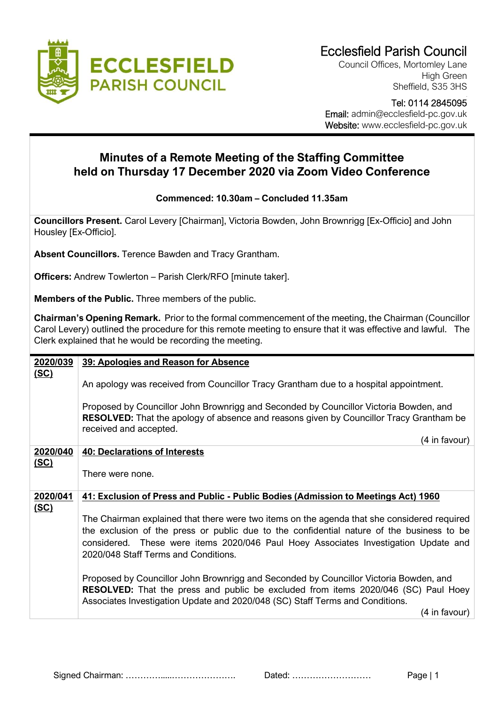

Council Offices, Mortomley Lane High Green Sheffield, S35 3HS

## Tel: 0114 2845095 Email: admin@ecclesfield-pc.gov.uk Website: www.ecclesfield-pc.gov.uk

## **Minutes of a Remote Meeting of the Staffing Committee held on Thursday 17 December 2020 via Zoom Video Conference**

## **Commenced: 10.30am – Concluded 11.35am**

**Councillors Present.** Carol Levery [Chairman], Victoria Bowden, John Brownrigg [Ex-Officio] and John Housley [Ex-Officio].

**Absent Councillors.** Terence Bawden and Tracy Grantham.

**Officers:** Andrew Towlerton – Parish Clerk/RFO [minute taker].

**Members of the Public.** Three members of the public.

**Chairman's Opening Remark.** Prior to the formal commencement of the meeting, the Chairman (Councillor Carol Levery) outlined the procedure for this remote meeting to ensure that it was effective and lawful. The Clerk explained that he would be recording the meeting.

| 2020/039    | 39: Apologies and Reason for Absence                                                                                                                                                                                                                                                                                    |
|-------------|-------------------------------------------------------------------------------------------------------------------------------------------------------------------------------------------------------------------------------------------------------------------------------------------------------------------------|
| <u>(SC)</u> | An apology was received from Councillor Tracy Grantham due to a hospital appointment.                                                                                                                                                                                                                                   |
|             | Proposed by Councillor John Brownrigg and Seconded by Councillor Victoria Bowden, and<br><b>RESOLVED:</b> That the apology of absence and reasons given by Councillor Tracy Grantham be<br>received and accepted.                                                                                                       |
|             | (4 in favour)                                                                                                                                                                                                                                                                                                           |
| 2020/040    | <b>40: Declarations of Interests</b>                                                                                                                                                                                                                                                                                    |
| <u>(SC)</u> | There were none.                                                                                                                                                                                                                                                                                                        |
| 2020/041    | 41: Exclusion of Press and Public - Public Bodies (Admission to Meetings Act) 1960                                                                                                                                                                                                                                      |
| <u>(SC)</u> | The Chairman explained that there were two items on the agenda that she considered required<br>the exclusion of the press or public due to the confidential nature of the business to be<br>considered. These were items 2020/046 Paul Hoey Associates Investigation Update and<br>2020/048 Staff Terms and Conditions. |
|             | Proposed by Councillor John Brownrigg and Seconded by Councillor Victoria Bowden, and<br><b>RESOLVED:</b> That the press and public be excluded from items 2020/046 (SC) Paul Hoey<br>Associates Investigation Update and 2020/048 (SC) Staff Terms and Conditions.                                                     |
|             | (4 in favour)                                                                                                                                                                                                                                                                                                           |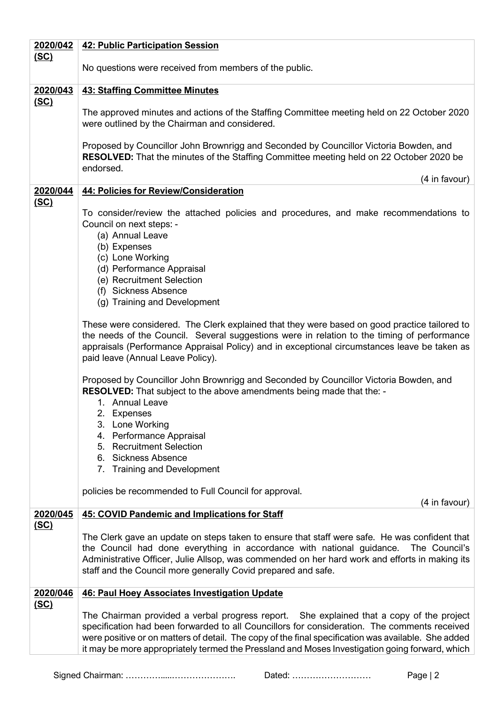| 2020/042    | 42: Public Participation Session                                                                                                                                        |
|-------------|-------------------------------------------------------------------------------------------------------------------------------------------------------------------------|
| <u>(SC)</u> |                                                                                                                                                                         |
|             | No questions were received from members of the public.                                                                                                                  |
|             |                                                                                                                                                                         |
| 2020/043    | <b>43: Staffing Committee Minutes</b>                                                                                                                                   |
| <u>(SC)</u> | The approved minutes and actions of the Staffing Committee meeting held on 22 October 2020                                                                              |
|             | were outlined by the Chairman and considered.                                                                                                                           |
|             |                                                                                                                                                                         |
|             | Proposed by Councillor John Brownrigg and Seconded by Councillor Victoria Bowden, and                                                                                   |
|             | <b>RESOLVED:</b> That the minutes of the Staffing Committee meeting held on 22 October 2020 be                                                                          |
|             | endorsed.                                                                                                                                                               |
|             | (4 in favour)                                                                                                                                                           |
| 2020/044    | 44: Policies for Review/Consideration                                                                                                                                   |
| <u>(SC)</u> | To consider/review the attached policies and procedures, and make recommendations to                                                                                    |
|             | Council on next steps: -                                                                                                                                                |
|             | (a) Annual Leave                                                                                                                                                        |
|             | (b) Expenses                                                                                                                                                            |
|             | (c) Lone Working                                                                                                                                                        |
|             | (d) Performance Appraisal                                                                                                                                               |
|             | (e) Recruitment Selection                                                                                                                                               |
|             | (f) Sickness Absence                                                                                                                                                    |
|             | (g) Training and Development                                                                                                                                            |
|             | These were considered. The Clerk explained that they were based on good practice tailored to                                                                            |
|             | the needs of the Council. Several suggestions were in relation to the timing of performance                                                                             |
|             | appraisals (Performance Appraisal Policy) and in exceptional circumstances leave be taken as                                                                            |
|             | paid leave (Annual Leave Policy).                                                                                                                                       |
|             |                                                                                                                                                                         |
|             | Proposed by Councillor John Brownrigg and Seconded by Councillor Victoria Bowden, and                                                                                   |
|             | <b>RESOLVED:</b> That subject to the above amendments being made that the: -                                                                                            |
|             | 1. Annual Leave                                                                                                                                                         |
|             | 2. Expenses                                                                                                                                                             |
|             | 3. Lone Working<br>4. Performance Appraisal                                                                                                                             |
|             | <b>Recruitment Selection</b><br>5.                                                                                                                                      |
|             | <b>Sickness Absence</b><br>6.                                                                                                                                           |
|             | 7. Training and Development                                                                                                                                             |
|             |                                                                                                                                                                         |
|             | policies be recommended to Full Council for approval.                                                                                                                   |
|             | (4 in favour)                                                                                                                                                           |
| 2020/045    | <b>45: COVID Pandemic and Implications for Staff</b>                                                                                                                    |
| <u>(SC)</u> |                                                                                                                                                                         |
|             | The Clerk gave an update on steps taken to ensure that staff were safe. He was confident that<br>The Council's                                                          |
|             | the Council had done everything in accordance with national guidance.<br>Administrative Officer, Julie Allsop, was commended on her hard work and efforts in making its |
|             | staff and the Council more generally Covid prepared and safe.                                                                                                           |
|             |                                                                                                                                                                         |
| 2020/046    | <b>46: Paul Hoey Associates Investigation Update</b>                                                                                                                    |
| <u>(SC)</u> |                                                                                                                                                                         |
|             | The Chairman provided a verbal progress report. She explained that a copy of the project                                                                                |
|             | specification had been forwarded to all Councillors for consideration. The comments received                                                                            |
|             | were positive or on matters of detail. The copy of the final specification was available. She added                                                                     |
|             | it may be more appropriately termed the Pressland and Moses Investigation going forward, which                                                                          |

Signed Chairman: ………….....…………………. Dated: ……………………… Page | 2